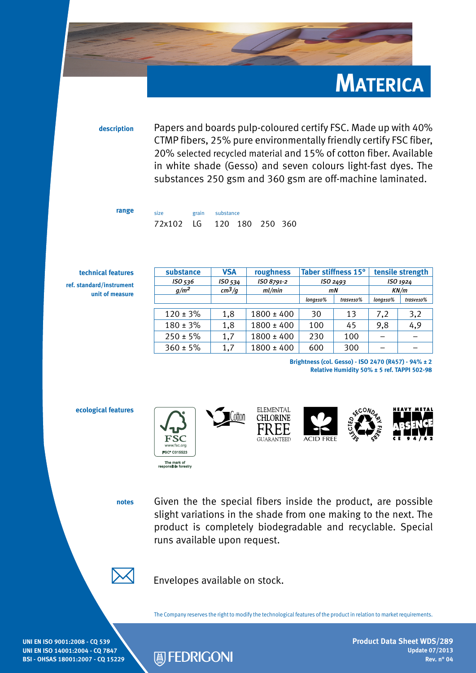

**description** Papers and boards pulp-coloured certify FSC. Made up with 40% CTMP fibers, 25% pure environmentally friendly certify FSC fiber, 20% selected recycled material and 15% of cotton fiber. Available in white shade (Gesso) and seven colours light-fast dyes. The substances 250 gsm and 360 gsm are off-machine laminated.

| range | size<br>72x102 LG 120 180 250 360 |  | grain substance |  |  |  |
|-------|-----------------------------------|--|-----------------|--|--|--|
|       |                                   |  |                 |  |  |  |

**technical features ref. standard/instrument**

substance **VSA** roughness Taber stiffness 15° tensile strength *ISO 536 ISO 534 ISO 8791-2 ISO 2493 ISO 1924 g/m2 cm3/g ml/min mN KN/m long±10% trasv±10% long±10% trasv±10%*  $120 \pm 3\%$  1,8 1800  $\pm 400$  30 13 7,2 3,2  $180 \pm 3\%$  1,8 1800  $\pm 400$  100 45 9,8 4,9  $250 \pm 5\%$  | 1,7 | 1800  $\pm 400$  | 230 | 100 | – | –  $360 \pm 5\%$  1.7 1800  $\pm 400$  600 300 -

**unit of measure**

**ecological features**

**Brightness (col. Gesso) - ISO 2470 (R457) - 94% ± 2 Relative Humidity 50% ± 5 ref. TAPPI 502-98**



**notes** Given the the special fibers inside the product, are possible slight variations in the shade from one making to the next. The product is completely biodegradable and recyclable. Special runs available upon request.



Envelopes available on stock.

The Company reserves the right to modify the technological features of the product in relation to market requirements.

**UNI EN ISO 9001:2008 - CQ 539 UNI EN ISO 14001:2004 - CQ 7847 BSI - OHSAS 18001:2007 - CQ 15229**



**Product Data Sheet WDS/289 Update 07/2013 Rev. n° 04**